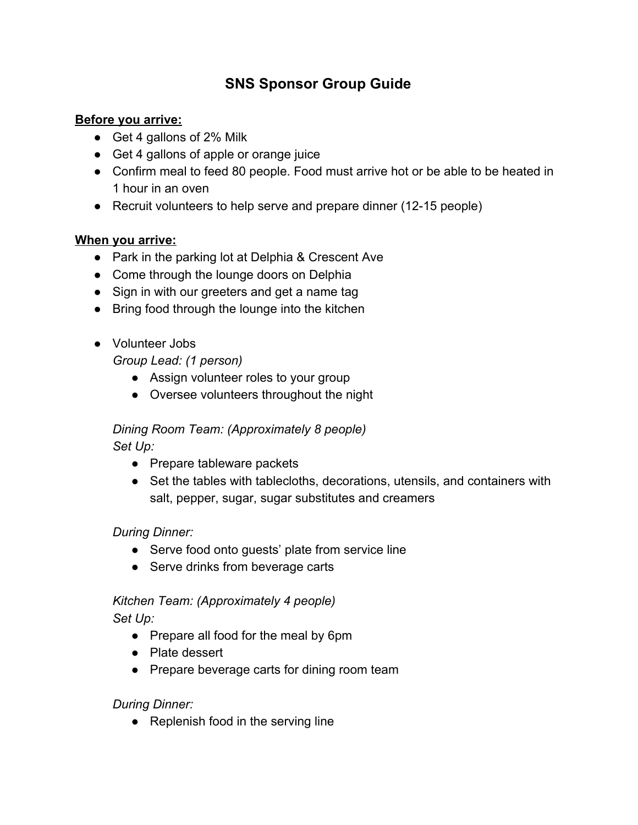# **SNS Sponsor Group Guide**

#### **Before you arrive:**

- Get 4 gallons of 2% Milk
- Get 4 gallons of apple or orange juice
- Confirm meal to feed 80 people. Food must arrive hot or be able to be heated in 1 hour in an oven
- Recruit volunteers to help serve and prepare dinner (12-15 people)

#### **When you arrive:**

- Park in the parking lot at Delphia & Crescent Ave
- Come through the lounge doors on Delphia
- Sign in with our greeters and get a name tag
- Bring food through the lounge into the kitchen
- Volunteer Jobs

*Group Lead: (1 person)*

- Assign volunteer roles to your group
- Oversee volunteers throughout the night

## *Dining Room Team: (Approximately 8 people) Set Up:*

● Prepare tableware packets

● Set the tables with tablecloths, decorations, utensils, and containers with salt, pepper, sugar, sugar substitutes and creamers

## *During Dinner:*

- Serve food onto guests' plate from service line
- Serve drinks from beverage carts

# *Kitchen Team: (Approximately 4 people)*

*Set Up:*

- Prepare all food for the meal by 6pm
- Plate dessert
- Prepare beverage carts for dining room team

## *During Dinner:*

• Replenish food in the serving line